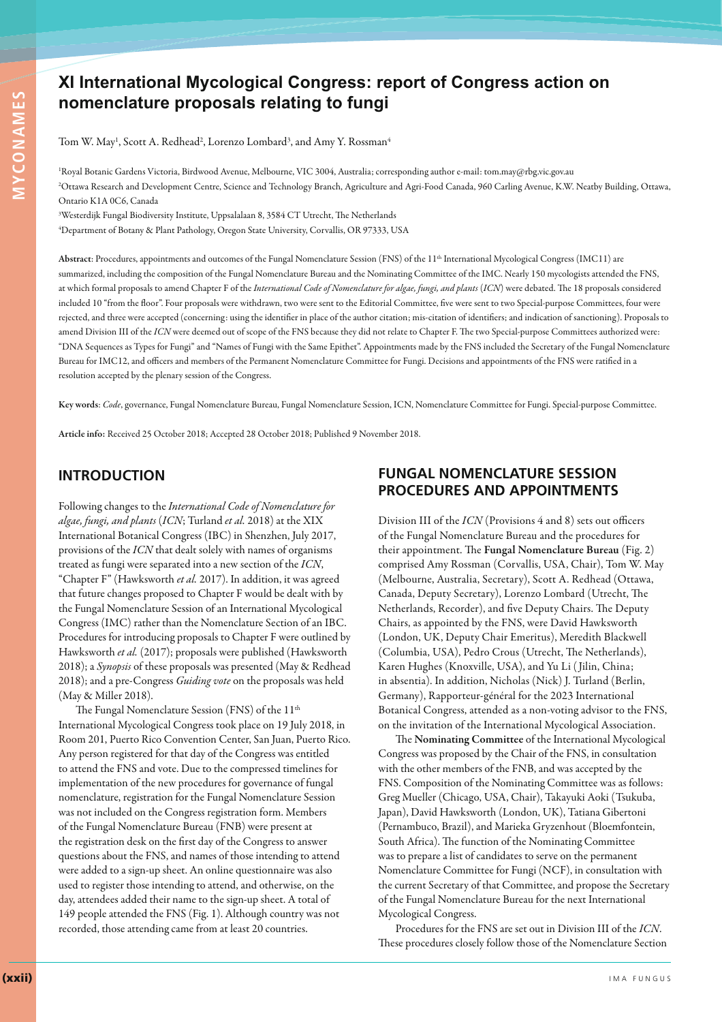# MYCONAMES **MYCONAMES**

## **XI International Mycological Congress: report of Congress action on nomenclature proposals relating to fungi**

Tom W. May<sup>1</sup>, Scott A. Redhead<sup>2</sup>, Lorenzo Lombard<sup>3</sup>, and Amy Y. Rossman<sup>4</sup>

1 Royal Botanic Gardens Victoria, Birdwood Avenue, Melbourne, VIC 3004, Australia; corresponding author e-mail: tom.may@rbg.vic.gov.au 2 Ottawa Research and Development Centre, Science and Technology Branch, Agriculture and Agri-Food Canada, 960 Carling Avenue, K.W. Neatby Building, Ottawa, Ontario K1A 0C6, Canada

3 Westerdijk Fungal Biodiversity Institute, Uppsalalaan 8, 3584 CT Utrecht, The Netherlands

4 Department of Botany & Plant Pathology, Oregon State University, Corvallis, OR 97333, USA

**Abstract**: Procedures, appointments and outcomes of the Fungal Nomenclature Session (FNS) of the 11th International Mycological Congress (IMC11) are summarized, including the composition of the Fungal Nomenclature Bureau and the Nominating Committee of the IMC. Nearly 150 mycologists attended the FNS, at which formal proposals to amend Chapter F of the *International Code of Nomenclature for algae, fungi, and plants* (*ICN*) were debated. The 18 proposals considered included 10 "from the floor". Four proposals were withdrawn, two were sent to the Editorial Committee, five were sent to two Special-purpose Committees, four were rejected, and three were accepted (concerning: using the identifier in place of the author citation; mis-citation of identifiers; and indication of sanctioning). Proposals to amend Division III of the *ICN* were deemed out of scope of the FNS because they did not relate to Chapter F. The two Special-purpose Committees authorized were: "DNA Sequences as Types for Fungi" and "Names of Fungi with the Same Epithet". Appointments made by the FNS included the Secretary of the Fungal Nomenclature Bureau for IMC12, and officers and members of the Permanent Nomenclature Committee for Fungi. Decisions and appointments of the FNS were ratified in a resolution accepted by the plenary session of the Congress.

**Key words**: *Code*, governance, Fungal Nomenclature Bureau, Fungal Nomenclature Session, ICN, Nomenclature Committee for Fungi. Special-purpose Committee.

**Article info:** Received 25 October 2018; Accepted 28 October 2018; Published 9 November 2018.

## **INTRODUCTION**

Following changes to the *International Code of Nomenclature for algae, fungi, and plants* (*ICN*; Turland *et al.* 2018) at the XIX International Botanical Congress (IBC) in Shenzhen, July 2017, provisions of the *ICN* that dealt solely with names of organisms treated as fungi were separated into a new section of the *ICN*, "Chapter F" (Hawksworth *et al.* 2017). In addition, it was agreed that future changes proposed to Chapter F would be dealt with by the Fungal Nomenclature Session of an International Mycological Congress (IMC) rather than the Nomenclature Section of an IBC. Procedures for introducing proposals to Chapter F were outlined by Hawksworth *et al.* (2017); proposals were published (Hawksworth 2018); a *Synopsis* of these proposals was presented (May & Redhead 2018); and a pre-Congress *Guiding vote* on the proposals was held (May & Miller 2018).

The Fungal Nomenclature Session (FNS) of the 11<sup>th</sup> International Mycological Congress took place on 19 July 2018, in Room 201, Puerto Rico Convention Center, San Juan, Puerto Rico. Any person registered for that day of the Congress was entitled to attend the FNS and vote. Due to the compressed timelines for implementation of the new procedures for governance of fungal nomenclature, registration for the Fungal Nomenclature Session was not included on the Congress registration form. Members of the Fungal Nomenclature Bureau (FNB) were present at the registration desk on the first day of the Congress to answer questions about the FNS, and names of those intending to attend were added to a sign-up sheet. An online questionnaire was also used to register those intending to attend, and otherwise, on the day, attendees added their name to the sign-up sheet. A total of 149 people attended the FNS (Fig. 1). Although country was not recorded, those attending came from at least 20 countries.

## **FUNGAL NOMENCLATURE SESSION PROCEDURES AND APPOINTMENTS**

Division III of the *ICN* (Provisions 4 and 8) sets out officers of the Fungal Nomenclature Bureau and the procedures for their appointment. The **Fungal Nomenclature Bureau** (Fig. 2) comprised Amy Rossman (Corvallis, USA, Chair), Tom W. May (Melbourne, Australia, Secretary), Scott A. Redhead (Ottawa, Canada, Deputy Secretary), Lorenzo Lombard (Utrecht, The Netherlands, Recorder), and five Deputy Chairs. The Deputy Chairs, as appointed by the FNS, were David Hawksworth (London, UK, Deputy Chair Emeritus), Meredith Blackwell (Columbia, USA), Pedro Crous (Utrecht, The Netherlands), Karen Hughes (Knoxville, USA), and Yu Li ( Jilin, China; in absentia). In addition, Nicholas (Nick) J. Turland (Berlin, Germany), Rapporteur-général for the 2023 International Botanical Congress, attended as a non-voting advisor to the FNS, on the invitation of the International Mycological Association.

The **Nominating Committee** of the International Mycological Congress was proposed by the Chair of the FNS, in consultation with the other members of the FNB, and was accepted by the FNS. Composition of the Nominating Committee was as follows: Greg Mueller (Chicago, USA, Chair), Takayuki Aoki (Tsukuba, Japan), David Hawksworth (London, UK), Tatiana Gibertoni (Pernambuco, Brazil), and Marieka Gryzenhout (Bloemfontein, South Africa). The function of the Nominating Committee was to prepare a list of candidates to serve on the permanent Nomenclature Committee for Fungi (NCF), in consultation with the current Secretary of that Committee, and propose the Secretary of the Fungal Nomenclature Bureau for the next International Mycological Congress.

Procedures for the FNS are set out in Division III of the *ICN*. These procedures closely follow those of the Nomenclature Section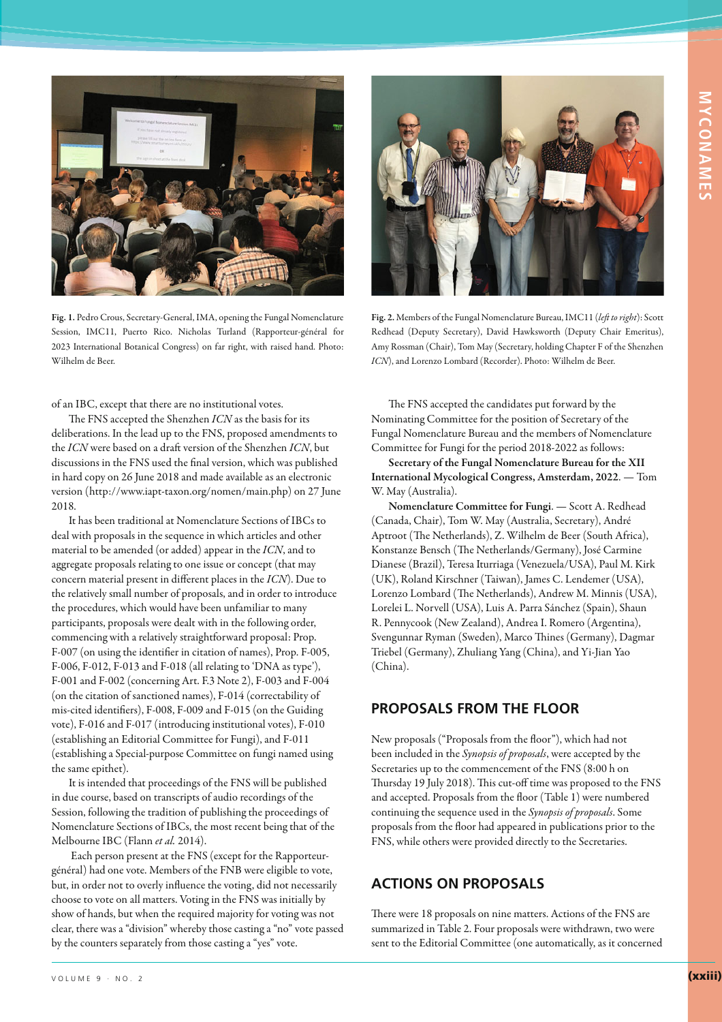

**Fig. 1.** Pedro Crous, Secretary-General, IMA, opening the Fungal Nomenclature Session, IMC11, Puerto Rico. Nicholas Turland (Rapporteur-général for 2023 International Botanical Congress) on far right, with raised hand. Photo: Wilhelm de Beer.

of an IBC, except that there are no institutional votes.

The FNS accepted the Shenzhen *ICN* as the basis for its deliberations. In the lead up to the FNS, proposed amendments to the *ICN* were based on a draft version of the Shenzhen *ICN*, but discussions in the FNS used the final version, which was published in hard copy on 26 June 2018 and made available as an electronic version (http://www.iapt-taxon.org/nomen/main.php) on 27 June 2018.

It has been traditional at Nomenclature Sections of IBCs to deal with proposals in the sequence in which articles and other material to be amended (or added) appear in the *ICN*, and to aggregate proposals relating to one issue or concept (that may concern material present in different places in the *ICN*). Due to the relatively small number of proposals, and in order to introduce the procedures, which would have been unfamiliar to many participants, proposals were dealt with in the following order, commencing with a relatively straightforward proposal: Prop. F-007 (on using the identifier in citation of names), Prop. F-005, F-006, F-012, F-013 and F-018 (all relating to 'DNA as type'), F-001 and F-002 (concerning Art. F.3 Note 2), F-003 and F-004 (on the citation of sanctioned names), F-014 (correctability of mis-cited identifiers), F-008, F-009 and F-015 (on the Guiding vote), F-016 and F-017 (introducing institutional votes), F-010 (establishing an Editorial Committee for Fungi), and F-011 (establishing a Special-purpose Committee on fungi named using the same epithet).

It is intended that proceedings of the FNS will be published in due course, based on transcripts of audio recordings of the Session, following the tradition of publishing the proceedings of Nomenclature Sections of IBCs, the most recent being that of the Melbourne IBC (Flann *et al.* 2014).

 Each person present at the FNS (except for the Rapporteurgénéral) had one vote. Members of the FNB were eligible to vote, but, in order not to overly influence the voting, did not necessarily choose to vote on all matters. Voting in the FNS was initially by show of hands, but when the required majority for voting was not clear, there was a "division" whereby those casting a "no" vote passed by the counters separately from those casting a "yes" vote.



**Fig. 2.** Members of the Fungal Nomenclature Bureau, IMC11 (*left to right*): Scott Redhead (Deputy Secretary), David Hawksworth (Deputy Chair Emeritus), Amy Rossman (Chair), Tom May (Secretary, holding Chapter F of the Shenzhen *ICN*), and Lorenzo Lombard (Recorder). Photo: Wilhelm de Beer.

The FNS accepted the candidates put forward by the Nominating Committee for the position of Secretary of the Fungal Nomenclature Bureau and the members of Nomenclature Committee for Fungi for the period 2018-2022 as follows:

**Secretary of the Fungal Nomenclature Bureau for the XII International Mycological Congress, Amsterdam, 2022**. — Tom W. May (Australia).

**Nomenclature Committee for Fungi**. — Scott A. Redhead (Canada, Chair), Tom W. May (Australia, Secretary), André Aptroot (The Netherlands), Z. Wilhelm de Beer (South Africa), Konstanze Bensch (The Netherlands/Germany), José Carmine Dianese (Brazil), Teresa Iturriaga (Venezuela/USA), Paul M. Kirk (UK), Roland Kirschner (Taiwan), James C. Lendemer (USA), Lorenzo Lombard (The Netherlands), Andrew M. Minnis (USA), Lorelei L. Norvell (USA), Luis A. Parra Sánchez (Spain), Shaun R. Pennycook (New Zealand), Andrea I. Romero (Argentina), Svengunnar Ryman (Sweden), Marco Thines (Germany), Dagmar Triebel (Germany), Zhuliang Yang (China), and Yi-Jian Yao (China).

#### **PROPOSALS FROM THE FLOOR**

New proposals ("Proposals from the floor"), which had not been included in the *Synopsis of proposals*, were accepted by the Secretaries up to the commencement of the FNS (8:00 h on Thursday 19 July 2018). This cut-off time was proposed to the FNS and accepted. Proposals from the floor (Table 1) were numbered continuing the sequence used in the *Synopsis of proposals*. Some proposals from the floor had appeared in publications prior to the FNS, while others were provided directly to the Secretaries.

## **ACTIONS ON PROPOSALS**

There were 18 proposals on nine matters. Actions of the FNS are summarized in Table 2. Four proposals were withdrawn, two were sent to the Editorial Committee (one automatically, as it concerned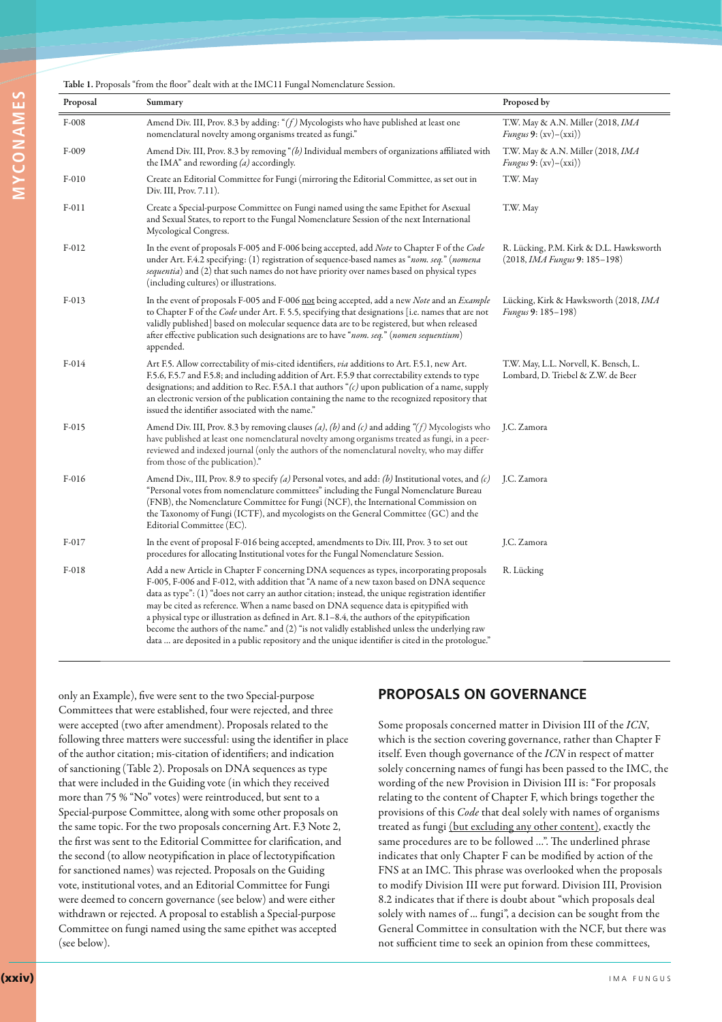Table 1. Proposals "from the floor" dealt with at the IMC11 Fungal Nomenclature Session.

| Proposal | Summary                                                                                                                                                                                                                                                                                                                                                                                                                                                                                                                                                                                                                                                                                           | Proposed by                                                                 |
|----------|---------------------------------------------------------------------------------------------------------------------------------------------------------------------------------------------------------------------------------------------------------------------------------------------------------------------------------------------------------------------------------------------------------------------------------------------------------------------------------------------------------------------------------------------------------------------------------------------------------------------------------------------------------------------------------------------------|-----------------------------------------------------------------------------|
| $F-008$  | Amend Div. III, Prov. 8.3 by adding: " $(f)$ Mycologists who have published at least one<br>nomenclatural novelty among organisms treated as fungi."                                                                                                                                                                                                                                                                                                                                                                                                                                                                                                                                              | T.W. May & A.N. Miller (2018, IMA<br><i>Fungus</i> 9: $(xv) - (xxi)$        |
| $F-009$  | Amend Div. III, Prov. 8.3 by removing "(b) Individual members of organizations affiliated with<br>the IMA" and rewording $(a)$ accordingly.                                                                                                                                                                                                                                                                                                                                                                                                                                                                                                                                                       | T.W. May & A.N. Miller (2018, <i>IMA</i><br><i>Fungus</i> 9: $(xv) - (xxi)$ |
| F-010    | Create an Editorial Committee for Fungi (mirroring the Editorial Committee, as set out in<br>Div. III, Prov. 7.11).                                                                                                                                                                                                                                                                                                                                                                                                                                                                                                                                                                               | T.W. May                                                                    |
| F-011    | Create a Special-purpose Committee on Fungi named using the same Epithet for Asexual<br>and Sexual States, to report to the Fungal Nomenclature Session of the next International<br>Mycological Congress.                                                                                                                                                                                                                                                                                                                                                                                                                                                                                        | T.W. May                                                                    |
| $F-012$  | In the event of proposals F-005 and F-006 being accepted, add <i>Note</i> to Chapter F of the <i>Code</i><br>under Art. F.4.2 specifying: (1) registration of sequence-based names as "nom. seq." (nomena<br>sequentia) and (2) that such names do not have priority over names based on physical types<br>(including cultures) or illustrations.                                                                                                                                                                                                                                                                                                                                                 | R. Lücking, P.M. Kirk & D.L. Hawksworth<br>(2018, IMA Fungus 9: 185–198)    |
| $F-013$  | In the event of proposals F-005 and F-006 not being accepted, add a new Note and an Example<br>to Chapter F of the Code under Art. F. 5.5, specifying that designations [i.e. names that are not<br>validly published] based on molecular sequence data are to be registered, but when released<br>after effective publication such designations are to have "nom. seq." (nomen sequentium)<br>appended.                                                                                                                                                                                                                                                                                          | Lücking, Kirk & Hawksworth (2018, IMA<br><i>Fungus</i> 9: 185–198)          |
| $F-014$  | Art F.5. Allow correctability of mis-cited identifiers, via additions to Art. F.5.1, new Art.<br>F.5.6, F.5.7 and F.5.8; and including addition of Art. F.5.9 that correctability extends to type<br>designations; and addition to Rec. F.5A.1 that authors " $(c)$ upon publication of a name, supply<br>an electronic version of the publication containing the name to the recognized repository that<br>issued the identifier associated with the name."                                                                                                                                                                                                                                      | T.W. May, L.L. Norvell, K. Bensch, L.<br>Lombard, D. Triebel & Z.W. de Beer |
| $F-015$  | Amend Div. III, Prov. 8.3 by removing clauses (a), (b) and (c) and adding "(f) Mycologists who<br>have published at least one nomenclatural novelty among organisms treated as fungi, in a peer-<br>reviewed and indexed journal (only the authors of the nomenclatural novelty, who may differ<br>from those of the publication)."                                                                                                                                                                                                                                                                                                                                                               | J.C. Zamora                                                                 |
| $F-016$  | Amend Div., III, Prov. 8.9 to specify (a) Personal votes, and add: (b) Institutional votes, and (c)<br>"Personal votes from nomenclature committees" including the Fungal Nomenclature Bureau<br>(FNB), the Nomenclature Committee for Fungi (NCF), the International Commission on<br>the Taxonomy of Fungi (ICTF), and mycologists on the General Committee (GC) and the<br>Editorial Committee (EC).                                                                                                                                                                                                                                                                                           | J.C. Zamora                                                                 |
| $F-017$  | In the event of proposal F-016 being accepted, amendments to Div. III, Prov. 3 to set out<br>procedures for allocating Institutional votes for the Fungal Nomenclature Session.                                                                                                                                                                                                                                                                                                                                                                                                                                                                                                                   | J.C. Zamora                                                                 |
| F-018    | Add a new Article in Chapter F concerning DNA sequences as types, incorporating proposals<br>F-005, F-006 and F-012, with addition that "A name of a new taxon based on DNA sequence<br>data as type": (1) "does not carry an author citation; instead, the unique registration identifier<br>may be cited as reference. When a name based on DNA sequence data is epitypified with<br>a physical type or illustration as defined in Art. $8.1-8.4$ , the authors of the epitypification<br>become the authors of the name." and $(2)$ "is not validly established unless the underlying raw<br>data  are deposited in a public repository and the unique identifier is cited in the protologue." | R. Lücking                                                                  |

only an Example), five were sent to the two Special-purpose Committees that were established, four were rejected, and three were accepted (two after amendment). Proposals related to the following three matters were successful: using the identifier in place of the author citation; mis-citation of identifiers; and indication of sanctioning (Table 2). Proposals on DNA sequences as type that were included in the Guiding vote (in which they received more than 75 % "No" votes) were reintroduced, but sent to a Special-purpose Committee, along with some other proposals on the same topic. For the two proposals concerning Art. F.3 Note 2, the first was sent to the Editorial Committee for clarification, and the second (to allow neotypification in place of lectotypification for sanctioned names) was rejected. Proposals on the Guiding vote, institutional votes, and an Editorial Committee for Fungi were deemed to concern governance (see below) and were either withdrawn or rejected. A proposal to establish a Special-purpose Committee on fungi named using the same epithet was accepted (see below).

## **PROPOSALS ON GOVERNANCE**

Some proposals concerned matter in Division III of the *ICN*, which is the section covering governance, rather than Chapter F itself. Even though governance of the *ICN* in respect of matter solely concerning names of fungi has been passed to the IMC, the wording of the new Provision in Division III is: "For proposals relating to the content of Chapter F, which brings together the provisions of this *Code* that deal solely with names of organisms treated as fungi (but excluding any other content), exactly the same procedures are to be followed …". The underlined phrase indicates that only Chapter F can be modified by action of the FNS at an IMC. This phrase was overlooked when the proposals to modify Division III were put forward. Division III, Provision 8.2 indicates that if there is doubt about "which proposals deal solely with names of ... fungi", a decision can be sought from the General Committee in consultation with the NCF, but there was not sufficient time to seek an opinion from these committees,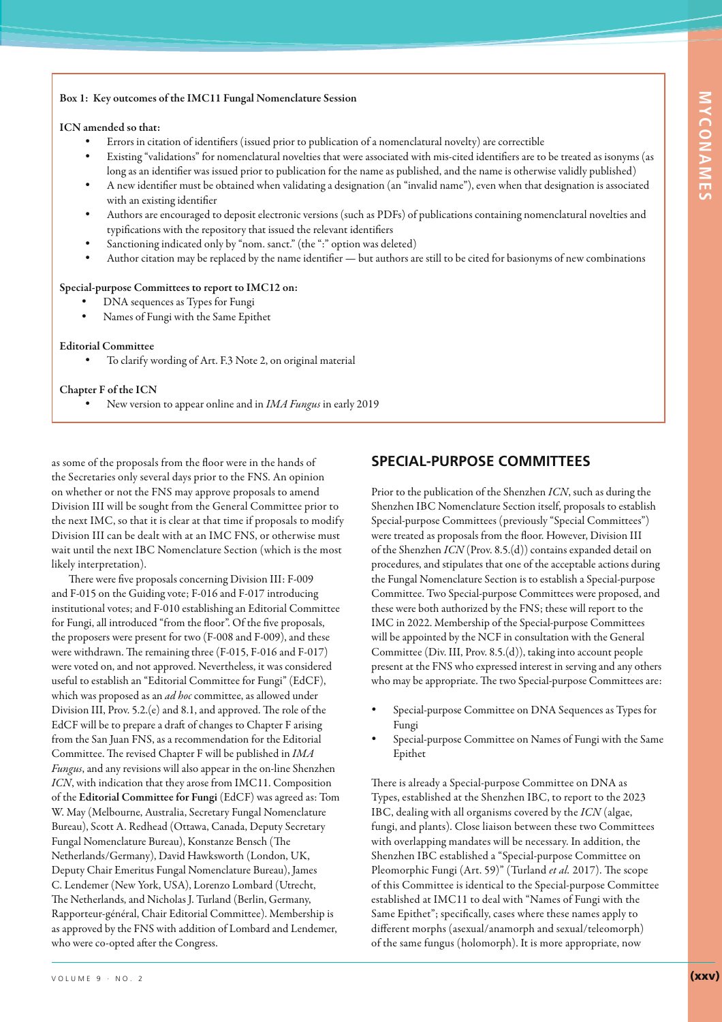#### **Box 1: Key outcomes of the IMC11 Fungal Nomenclature Session**

#### **ICN amended so that:**

- -Errors in citation of identifiers (issued prior to publication of a nomenclatural novelty) are correctible
- - Existing "validations" for nomenclatural novelties that were associated with mis-cited identifiers are to be treated as isonyms (as long as an identifier was issued prior to publication for the name as published, and the name is otherwise validly published)
- - A new identifier must be obtained when validating a designation (an "invalid name"), even when that designation is associated with an existing identifier
- - Authors are encouraged to deposit electronic versions (such as PDFs) of publications containing nomenclatural novelties and typifications with the repository that issued the relevant identifiers
- -Sanctioning indicated only by "nom. sanct." (the ":" option was deleted)
- -Author citation may be replaced by the name identifier — but authors are still to be cited for basionyms of new combinations

#### **Special-purpose Committees to report to IMC12 on:**

- -DNA sequences as Types for Fungi
- -Names of Fungi with the Same Epithet

#### **Editorial Committee**

-To clarify wording of Art. F.3 Note 2, on original material

#### **Chapter F of the ICN**

-New version to appear online and in *IMA Fungus* in early 2019

as some of the proposals from the floor were in the hands of the Secretaries only several days prior to the FNS. An opinion on whether or not the FNS may approve proposals to amend Division III will be sought from the General Committee prior to the next IMC, so that it is clear at that time if proposals to modify Division III can be dealt with at an IMC FNS, or otherwise must wait until the next IBC Nomenclature Section (which is the most likely interpretation).

There were five proposals concerning Division III: F-009 and F-015 on the Guiding vote; F-016 and F-017 introducing institutional votes; and F-010 establishing an Editorial Committee for Fungi, all introduced "from the floor". Of the five proposals, the proposers were present for two (F-008 and F-009), and these were withdrawn. The remaining three (F-015, F-016 and F-017) were voted on, and not approved. Nevertheless, it was considered useful to establish an "Editorial Committee for Fungi" (EdCF), which was proposed as an *ad hoc* committee, as allowed under Division III, Prov. 5.2.(e) and 8.1, and approved. The role of the EdCF will be to prepare a draft of changes to Chapter F arising from the San Juan FNS, as a recommendation for the Editorial Committee. The revised Chapter F will be published in *IMA Fungus*, and any revisions will also appear in the on-line Shenzhen *ICN*, with indication that they arose from IMC11. Composition of the **Editorial Committee for Fungi** (EdCF) was agreed as: Tom W. May (Melbourne, Australia, Secretary Fungal Nomenclature Bureau), Scott A. Redhead (Ottawa, Canada, Deputy Secretary Fungal Nomenclature Bureau), Konstanze Bensch (The Netherlands/Germany), David Hawksworth (London, UK, Deputy Chair Emeritus Fungal Nomenclature Bureau), James C. Lendemer (New York, USA), Lorenzo Lombard (Utrecht, The Netherlands, and Nicholas J. Turland (Berlin, Germany, Rapporteur-général, Chair Editorial Committee). Membership is as approved by the FNS with addition of Lombard and Lendemer, who were co-opted after the Congress.

## **SPECIAL-PURPOSE COMMITTEES**

Prior to the publication of the Shenzhen *ICN*, such as during the Shenzhen IBC Nomenclature Section itself, proposals to establish Special-purpose Committees (previously "Special Committees") were treated as proposals from the floor. However, Division III of the Shenzhen *ICN* (Prov. 8.5.(d)) contains expanded detail on procedures, and stipulates that one of the acceptable actions during the Fungal Nomenclature Section is to establish a Special-purpose Committee. Two Special-purpose Committees were proposed, and these were both authorized by the FNS; these will report to the IMC in 2022. Membership of the Special-purpose Committees will be appointed by the NCF in consultation with the General Committee (Div. III, Prov. 8.5.(d)), taking into account people present at the FNS who expressed interest in serving and any others who may be appropriate. The two Special-purpose Committees are:

- - Special-purpose Committee on DNA Sequences as Types for Fungi
- - Special-purpose Committee on Names of Fungi with the Same Epithet

There is already a Special-purpose Committee on DNA as Types, established at the Shenzhen IBC, to report to the 2023 IBC, dealing with all organisms covered by the *ICN* (algae, fungi, and plants). Close liaison between these two Committees with overlapping mandates will be necessary. In addition, the Shenzhen IBC established a "Special-purpose Committee on Pleomorphic Fungi (Art. 59)" (Turland *et al.* 2017). The scope of this Committee is identical to the Special-purpose Committee established at IMC11 to deal with "Names of Fungi with the Same Epithet"; specifically, cases where these names apply to different morphs (asexual/anamorph and sexual/teleomorph) of the same fungus (holomorph). It is more appropriate, now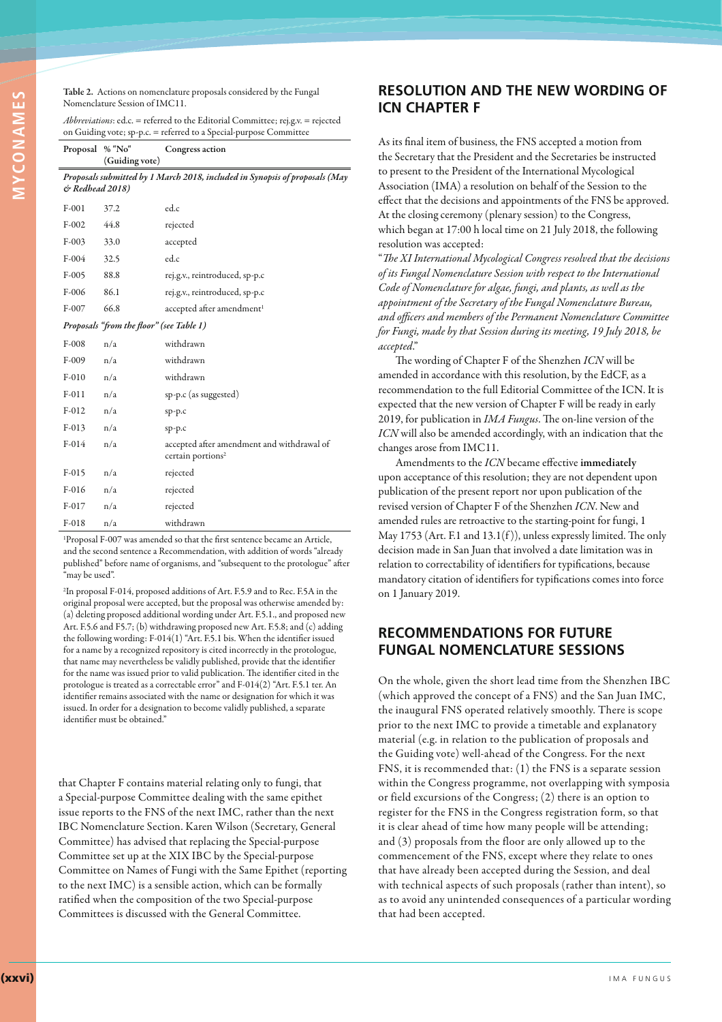|                            | <i>Abbreviations:</i> ed.c. = referred to the Editorial Committee; rej.g.v. = rejected<br>on Guiding vote; sp-p.c. = referred to a Special-purpose Committee |                                                                             |  |  |
|----------------------------|--------------------------------------------------------------------------------------------------------------------------------------------------------------|-----------------------------------------------------------------------------|--|--|
| Proposal % "No"            | (Guiding vote)                                                                                                                                               | Congress action                                                             |  |  |
| $\mathcal O$ Redhead 2018) |                                                                                                                                                              | Proposals submitted by 1 March 2018, included in Synopsis of proposals (May |  |  |
| $F-001$                    | 37.2                                                                                                                                                         | ed.c                                                                        |  |  |
| $F-002$                    | 44.8                                                                                                                                                         | rejected                                                                    |  |  |
| $F-003$                    | 33.0                                                                                                                                                         | accepted                                                                    |  |  |
| $F-004$                    | 32.5                                                                                                                                                         | ed.c                                                                        |  |  |
| $F-005$                    | 88.8                                                                                                                                                         | rej.g.v., reintroduced, sp-p.c                                              |  |  |
| $F-006$                    | 86.1                                                                                                                                                         | rej.g.v., reintroduced, sp-p.c                                              |  |  |
| F-007                      | 66.8                                                                                                                                                         | accepted after amendment <sup>1</sup>                                       |  |  |

**Table 2.**  Actions on nomenclature proposals considered by the Fungal

*Proposals "from the floor" (see Table 1)*

Nomenclature Session of IMC11.

| $F-008$ | n/a | withdrawn                                                                   |
|---------|-----|-----------------------------------------------------------------------------|
| $F-009$ | n/a | withdrawn                                                                   |
| $F-010$ | n/a | withdrawn                                                                   |
| $F-011$ | n/a | sp-p.c (as suggested)                                                       |
| $F-012$ | n/a | sp-p.c                                                                      |
| $F-013$ | n/a | sp-p.c                                                                      |
| $F-014$ | n/a | accepted after amendment and withdrawal of<br>certain portions <sup>2</sup> |
| $F-015$ | n/a | rejected                                                                    |
| $F-016$ | n/a | rejected                                                                    |
| $F-017$ | n/a | rejected                                                                    |
| F-018   | n/a | withdrawn                                                                   |

1 Proposal F-007 was amended so that the first sentence became an Article, and the second sentence a Recommendation, with addition of words "already published" before name of organisms, and "subsequent to the protologue" after "may be used".

2 In proposal F-014, proposed additions of Art. F.5.9 and to Rec. F.5A in the original proposal were accepted, but the proposal was otherwise amended by: (a) deleting proposed additional wording under Art. F.5.1., and proposed new Art. F.5.6 and F5.7; (b) withdrawing proposed new Art. F.5.8; and (c) adding the following wording: F-014(1) "Art. F.5.1 bis. When the identifier issued for a name by a recognized repository is cited incorrectly in the protologue, that name may nevertheless be validly published, provide that the identifier for the name was issued prior to valid publication. The identifier cited in the protologue is treated as a correctable error" and F-014(2) "Art. F.5.1 ter. An identifier remains associated with the name or designation for which it was issued. In order for a designation to become validly published, a separate identifier must be obtained."

that Chapter F contains material relating only to fungi, that a Special-purpose Committee dealing with the same epithet issue reports to the FNS of the next IMC, rather than the next IBC Nomenclature Section. Karen Wilson (Secretary, General Committee) has advised that replacing the Special-purpose Committee set up at the XIX IBC by the Special-purpose Committee on Names of Fungi with the Same Epithet (reporting to the next IMC) is a sensible action, which can be formally ratified when the composition of the two Special-purpose Committees is discussed with the General Committee.

## **RESOLUTION AND THE NEW WORDING OF ICN CHAPTER F**

As its final item of business, the FNS accepted a motion from the Secretary that the President and the Secretaries be instructed to present to the President of the International Mycological Association (IMA) a resolution on behalf of the Session to the effect that the decisions and appointments of the FNS be approved. At the closing ceremony (plenary session) to the Congress, which began at 17:00 h local time on 21 July 2018, the following resolution was accepted:

"*The XI International Mycological Congress resolved that the decisions of its Fungal Nomenclature Session with respect to the International Code of Nomenclature for algae, fungi, and plants, as well as the appointment of the Secretary of the Fungal Nomenclature Bureau, and officers and members of the Permanent Nomenclature Committee for Fungi, made by that Session during its meeting, 19 July 2018, be accepted*."

The wording of Chapter F of the Shenzhen *ICN* will be amended in accordance with this resolution, by the EdCF, as a recommendation to the full Editorial Committee of the ICN. It is expected that the new version of Chapter F will be ready in early 2019, for publication in *IMA Fungus*. The on-line version of the *ICN* will also be amended accordingly, with an indication that the changes arose from IMC11.

Amendments to the *ICN* became effective **immediately** upon acceptance of this resolution; they are not dependent upon publication of the present report nor upon publication of the revised version of Chapter F of the Shenzhen *ICN*. New and amended rules are retroactive to the starting-point for fungi, 1 May 1753 (Art. F.1 and  $13.1(f)$ ), unless expressly limited. The only decision made in San Juan that involved a date limitation was in relation to correctability of identifiers for typifications, because mandatory citation of identifiers for typifications comes into force on 1 January 2019.

## **RECOMMENDATIONS FOR FUTURE FUNGAL NOMENCLATURE SESSIONS**

On the whole, given the short lead time from the Shenzhen IBC (which approved the concept of a FNS) and the San Juan IMC, the inaugural FNS operated relatively smoothly. There is scope prior to the next IMC to provide a timetable and explanatory material (e.g. in relation to the publication of proposals and the Guiding vote) well-ahead of the Congress. For the next FNS, it is recommended that: (1) the FNS is a separate session within the Congress programme, not overlapping with symposia or field excursions of the Congress; (2) there is an option to register for the FNS in the Congress registration form, so that it is clear ahead of time how many people will be attending; and (3) proposals from the floor are only allowed up to the commencement of the FNS, except where they relate to ones that have already been accepted during the Session, and deal with technical aspects of such proposals (rather than intent), so as to avoid any unintended consequences of a particular wording that had been accepted.